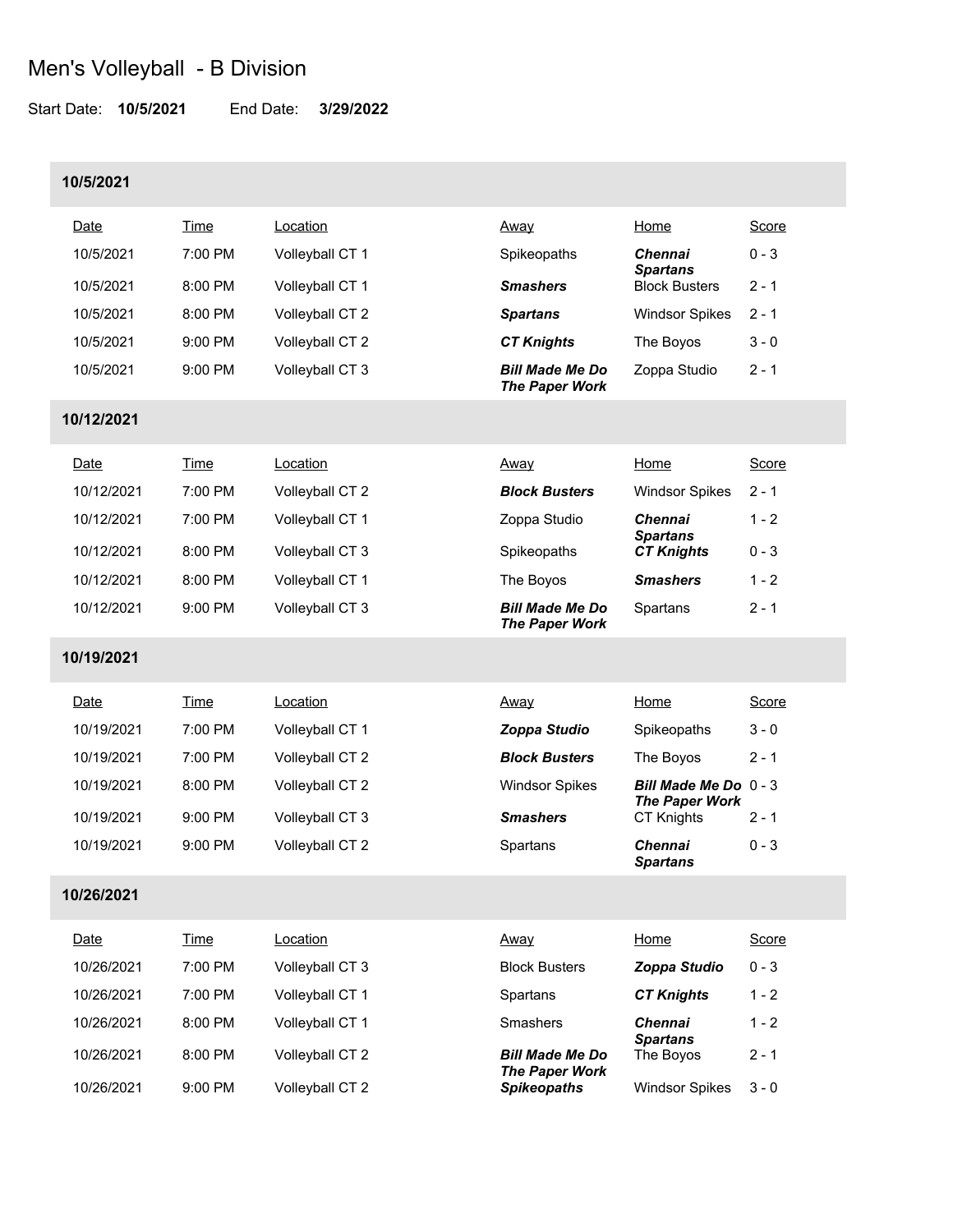Start Date: **10/5/2021** End Date: **3/29/2022**

### **10/5/2021**

| Date       | Time      | Location        | <u>Away</u>                                     | Home                                         | Score   |
|------------|-----------|-----------------|-------------------------------------------------|----------------------------------------------|---------|
| 10/5/2021  | $7:00$ PM | Volleyball CT 1 | Spikeopaths                                     | <b>Chennai</b><br><b>Spartans</b>            | $0 - 3$ |
| 10/5/2021  | 8:00 PM   | Volleyball CT 1 | <b>Smashers</b>                                 | <b>Block Busters</b>                         | $2 - 1$ |
| 10/5/2021  | 8:00 PM   | Volleyball CT 2 | <b>Spartans</b>                                 | <b>Windsor Spikes</b>                        | $2 - 1$ |
| 10/5/2021  | 9:00 PM   | Volleyball CT 2 | <b>CT Knights</b>                               | The Boyos                                    | $3 - 0$ |
| 10/5/2021  | 9:00 PM   | Volleyball CT 3 | <b>Bill Made Me Do</b><br><b>The Paper Work</b> | Zoppa Studio                                 | $2 - 1$ |
| 10/12/2021 |           |                 |                                                 |                                              |         |
| Date       | Time      | Location        | <u>Away</u>                                     | Home                                         | Score   |
| 10/12/2021 | 7:00 PM   | Volleyball CT 2 | <b>Block Busters</b>                            | <b>Windsor Spikes</b>                        | $2 - 1$ |
| 10/12/2021 | 7:00 PM   | Volleyball CT 1 | Zoppa Studio                                    | <b>Chennai</b><br><b>Spartans</b>            | $1 - 2$ |
| 10/12/2021 | 8:00 PM   | Volleyball CT 3 | Spikeopaths                                     | <b>CT Knights</b>                            | $0 - 3$ |
| 10/12/2021 | 8:00 PM   | Volleyball CT 1 | The Boyos                                       | <b>Smashers</b>                              | $1 - 2$ |
| 10/12/2021 | 9:00 PM   | Volleyball CT 3 | <b>Bill Made Me Do</b><br><b>The Paper Work</b> | Spartans                                     | $2 - 1$ |
| 10/19/2021 |           |                 |                                                 |                                              |         |
| Date       | Time      | Location        | <u>Away</u>                                     | Home                                         | Score   |
| 10/19/2021 | 7:00 PM   | Volleyball CT 1 | Zoppa Studio                                    | Spikeopaths                                  | $3 - 0$ |
| 10/19/2021 | 7:00 PM   | Volleyball CT 2 | <b>Block Busters</b>                            | The Boyos                                    | $2 - 1$ |
| 10/19/2021 | 8:00 PM   | Volleyball CT 2 | <b>Windsor Spikes</b>                           | Bill Made Me Do 0-3<br><b>The Paper Work</b> |         |
| 10/19/2021 | 9:00 PM   | Volleyball CT 3 | <b>Smashers</b>                                 | <b>CT Knights</b>                            | $2 - 1$ |
| 10/19/2021 | 9:00 PM   | Volleyball CT 2 | Spartans                                        | Chennai<br><b>Spartans</b>                   | $0 - 3$ |
| 10/26/2021 |           |                 |                                                 |                                              |         |
| Date       | Time      | Location        | Away                                            | Home                                         | Score   |
| 10/26/2021 | 7:00 PM   | Volleyball CT 3 | <b>Block Busters</b>                            | Zoppa Studio                                 | $0 - 3$ |
| 10/26/2021 | 7:00 PM   | Volleyball CT 1 | Spartans                                        | <b>CT Knights</b>                            | $1 - 2$ |
| 10/26/2021 | 8:00 PM   | Volleyball CT 1 | Smashers                                        | <b>Chennai</b>                               | $1 - 2$ |
| 10/26/2021 | 8:00 PM   | Volleyball CT 2 | <b>Bill Made Me Do</b>                          | <b>Spartans</b><br>The Boyos                 | $2 - 1$ |
| 10/26/2021 | 9:00 PM   | Volleyball CT 2 | <b>The Paper Work</b><br><b>Spikeopaths</b>     | <b>Windsor Spikes</b>                        | $3 - 0$ |
|            |           |                 |                                                 |                                              |         |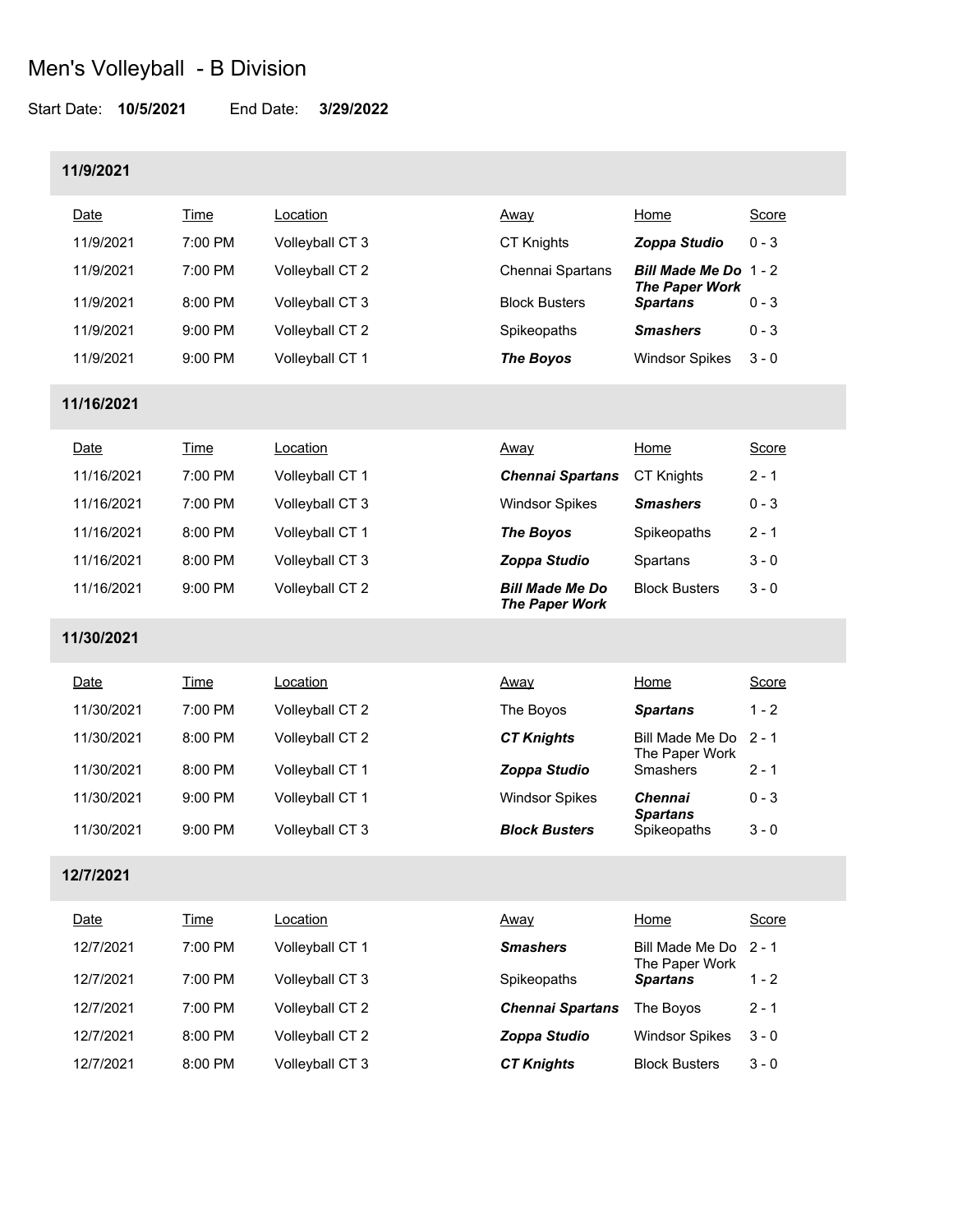Start Date: **10/5/2021** End Date: **3/29/2022**

#### **11/9/2021**

| Date      | Time      | ∟ocation        | <u>Away</u>          | Home                                     | Score   |
|-----------|-----------|-----------------|----------------------|------------------------------------------|---------|
| 11/9/2021 | $7:00$ PM | Volleyball CT 3 | <b>CT Knights</b>    | Zoppa Studio                             | $0 - 3$ |
| 11/9/2021 | $7:00$ PM | Volleyball CT 2 | Chennai Spartans     | <b>Bill Made Me Do 1-2</b>               |         |
| 11/9/2021 | 8:00 PM   | Volleyball CT 3 | <b>Block Busters</b> | <b>The Paper Work</b><br><b>Spartans</b> | $0 - 3$ |
| 11/9/2021 | $9:00$ PM | Volleyball CT 2 | Spikeopaths          | <b>Smashers</b>                          | $0 - 3$ |
| 11/9/2021 | $9:00$ PM | Volleyball CT 1 | <b>The Boyos</b>     | <b>Windsor Spikes</b>                    | $3 - 0$ |

#### **11/16/2021**

| Date       | Time              | Location        | Away                                            | Home                 | Score   |
|------------|-------------------|-----------------|-------------------------------------------------|----------------------|---------|
| 11/16/2021 | $7:00$ PM         | Volleyball CT 1 | <b>Chennai Spartans</b>                         | <b>CT Knights</b>    | $2 - 1$ |
| 11/16/2021 | $7:00 \text{ PM}$ | Volleyball CT 3 | <b>Windsor Spikes</b>                           | <b>Smashers</b>      | $0 - 3$ |
| 11/16/2021 | $8:00$ PM         | Volleyball CT 1 | <b>The Boyos</b>                                | Spikeopaths          | $2 - 1$ |
| 11/16/2021 | $8:00$ PM         | Volleyball CT 3 | Zoppa Studio                                    | Spartans             | $3 - 0$ |
| 11/16/2021 | $9:00$ PM         | Volleyball CT 2 | <b>Bill Made Me Do</b><br><b>The Paper Work</b> | <b>Block Busters</b> | $3 - 0$ |

#### **11/30/2021**

| Date       | Time      | Location        | <u>Away</u>           | Home                                    | Score   |
|------------|-----------|-----------------|-----------------------|-----------------------------------------|---------|
| 11/30/2021 | $7:00$ PM | Volleyball CT 2 | The Boyos             | <b>Spartans</b>                         | $1 - 2$ |
| 11/30/2021 | $8:00$ PM | Volleyball CT 2 | <b>CT Knights</b>     | Bill Made Me Do 2 - 1<br>The Paper Work |         |
| 11/30/2021 | $8:00$ PM | Volleyball CT 1 | Zoppa Studio          | <b>Smashers</b>                         | $2 - 1$ |
| 11/30/2021 | $9:00$ PM | Volleyball CT 1 | <b>Windsor Spikes</b> | <b>Chennai</b><br><b>Spartans</b>       | $0 - 3$ |
| 11/30/2021 | $9:00$ PM | Volleyball CT 3 | <b>Block Busters</b>  | Spikeopaths                             | $3 - 0$ |

#### **12/7/2021**

| Date      | Time    | Location        | Away                    | Home                                    | Score   |
|-----------|---------|-----------------|-------------------------|-----------------------------------------|---------|
| 12/7/2021 | 7:00 PM | Volleyball CT 1 | <b>Smashers</b>         | Bill Made Me Do 2 - 1<br>The Paper Work |         |
| 12/7/2021 | 7:00 PM | Volleyball CT 3 | Spikeopaths             | <b>Spartans</b>                         | $1 - 2$ |
| 12/7/2021 | 7:00 PM | Volleyball CT 2 | <b>Chennai Spartans</b> | The Bovos                               | $2 - 1$ |
| 12/7/2021 | 8:00 PM | Volleyball CT 2 | Zoppa Studio            | <b>Windsor Spikes</b>                   | $3 - 0$ |
| 12/7/2021 | 8:00 PM | Volleyball CT 3 | <b>CT Knights</b>       | <b>Block Busters</b>                    | $3 - 0$ |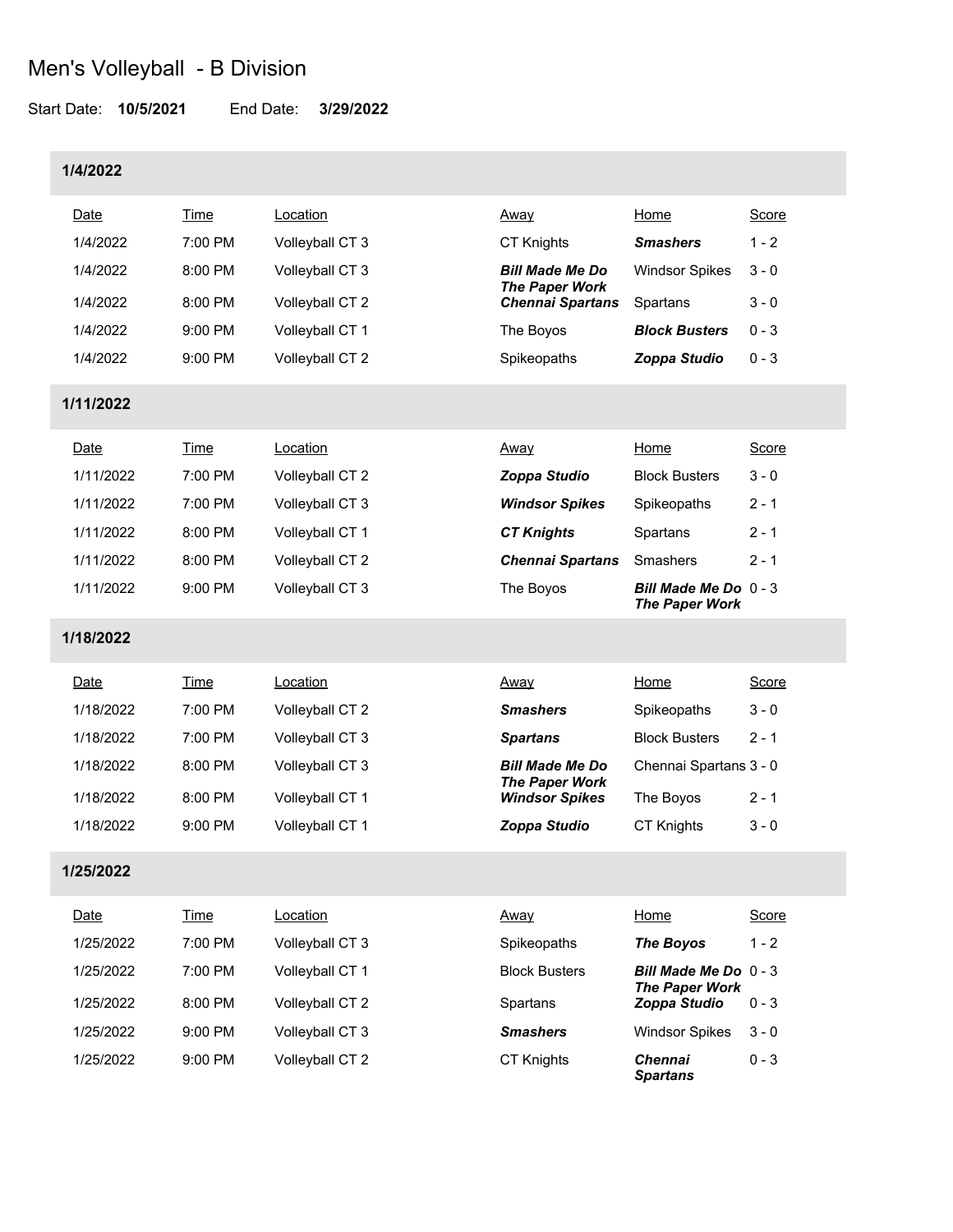Start Date: **10/5/2021** End Date: **3/29/2022**

#### **1/4/2022**

| Date      | Time      | Location        | <u>Away</u>                                     | Home                  | <b>Score</b> |
|-----------|-----------|-----------------|-------------------------------------------------|-----------------------|--------------|
| 1/4/2022  | 7:00 PM   | Volleyball CT 3 | CT Knights                                      | <b>Smashers</b>       | $1 - 2$      |
| 1/4/2022  | 8:00 PM   | Volleyball CT 3 | <b>Bill Made Me Do</b><br><b>The Paper Work</b> | <b>Windsor Spikes</b> | $3 - 0$      |
| 1/4/2022  | 8:00 PM   | Volleyball CT 2 | <b>Chennai Spartans</b>                         | Spartans              | $3 - 0$      |
| 1/4/2022  | $9:00$ PM | Volleyball CT 1 | The Boyos                                       | <b>Block Busters</b>  | $0 - 3$      |
| 1/4/2022  | $9:00$ PM | Volleyball CT 2 | Spikeopaths                                     | Zoppa Studio          | $0 - 3$      |
| 1/11/2022 |           |                 |                                                 |                       |              |

| Date      | Time              | Location        | Away                    | Home                                             | Score   |
|-----------|-------------------|-----------------|-------------------------|--------------------------------------------------|---------|
| 1/11/2022 | $7:00 \text{ PM}$ | Volleyball CT 2 | Zoppa Studio            | <b>Block Busters</b>                             | $3 - 0$ |
| 1/11/2022 | $7:00$ PM         | Volleyball CT 3 | <b>Windsor Spikes</b>   | Spikeopaths                                      | $2 - 1$ |
| 1/11/2022 | $8:00$ PM         | Volleyball CT 1 | <b>CT Knights</b>       | Spartans                                         | $2 - 1$ |
| 1/11/2022 | $8:00$ PM         | Volleyball CT 2 | <b>Chennai Spartans</b> | Smashers                                         | $2 - 1$ |
| 1/11/2022 | $9:00$ PM         | Volleyball CT 3 | The Boyos               | Bill Made Me Do $0 - 3$<br><b>The Paper Work</b> |         |

#### **1/18/2022**

| Date      | Time      | Location        | <u>Away</u>                                     | Home                   | Score   |
|-----------|-----------|-----------------|-------------------------------------------------|------------------------|---------|
| 1/18/2022 | $7:00$ PM | Volleyball CT 2 | <b>Smashers</b>                                 | Spikeopaths            | $3 - 0$ |
| 1/18/2022 | $7:00$ PM | Volleyball CT 3 | <b>Spartans</b>                                 | <b>Block Busters</b>   | $2 - 1$ |
| 1/18/2022 | 8:00 PM   | Volleyball CT 3 | <b>Bill Made Me Do</b><br><b>The Paper Work</b> | Chennai Spartans 3 - 0 |         |
| 1/18/2022 | $8:00$ PM | Volleyball CT 1 | <b>Windsor Spikes</b>                           | The Boyos              | $2 - 1$ |
| 1/18/2022 | $9:00$ PM | Volleyball CT 1 | Zoppa Studio                                    | <b>CT Knights</b>      | $3 - 0$ |

### **1/25/2022**

| Date      | Time      | Location        | <u>Away</u>          | Home                                             | Score   |
|-----------|-----------|-----------------|----------------------|--------------------------------------------------|---------|
| 1/25/2022 | $7:00$ PM | Volleyball CT 3 | Spikeopaths          | <b>The Boyos</b>                                 | $1 - 2$ |
| 1/25/2022 | 7:00 PM   | Volleyball CT 1 | <b>Block Busters</b> | Bill Made Me Do $0 - 3$<br><b>The Paper Work</b> |         |
| 1/25/2022 | $8:00$ PM | Volleyball CT 2 | Spartans             | Zoppa Studio                                     | $0 - 3$ |
| 1/25/2022 | $9:00$ PM | Volleyball CT 3 | <b>Smashers</b>      | <b>Windsor Spikes</b>                            | $3 - 0$ |
| 1/25/2022 | $9:00$ PM | Volleyball CT 2 | <b>CT Knights</b>    | Chennai<br><b>Spartans</b>                       | $0 - 3$ |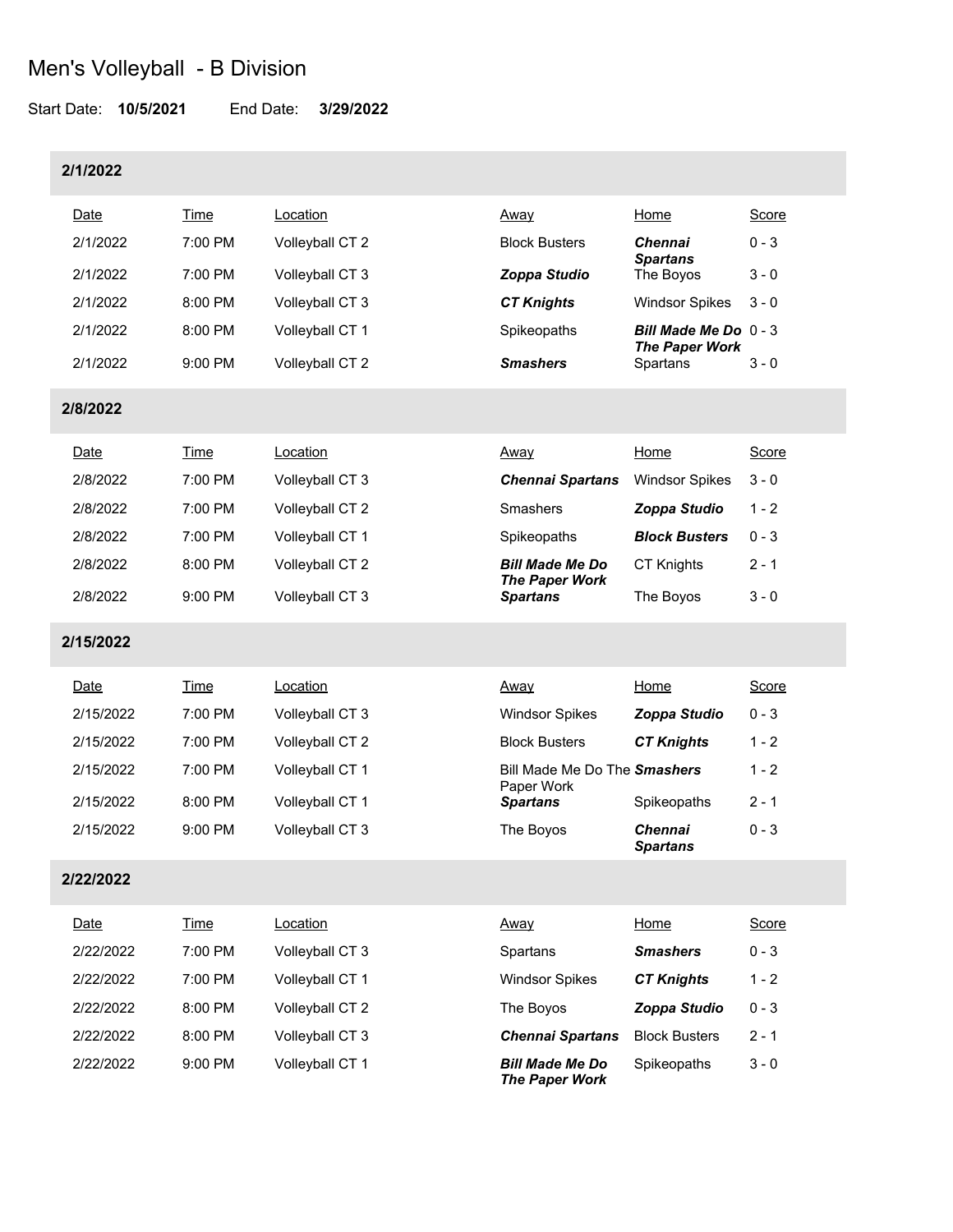Start Date: **10/5/2021** End Date: **3/29/2022**

#### **2/1/2022**

| <b>Date</b> | Time      | _ocation        | <u>Away</u>          | Home                                             | Score   |
|-------------|-----------|-----------------|----------------------|--------------------------------------------------|---------|
| 2/1/2022    | 7:00 PM   | Volleyball CT 2 | <b>Block Busters</b> | <b>Chennai</b><br><b>Spartans</b>                | $0 - 3$ |
| 2/1/2022    | 7:00 PM   | Volleyball CT 3 | Zoppa Studio         | The Boyos                                        | $3 - 0$ |
| 2/1/2022    | 8:00 PM   | Volleyball CT 3 | <b>CT Knights</b>    | <b>Windsor Spikes</b>                            | $3 - 0$ |
| 2/1/2022    | 8:00 PM   | Volleyball CT 1 | Spikeopaths          | Bill Made Me Do $0 - 3$<br><b>The Paper Work</b> |         |
| 2/1/2022    | $9:00$ PM | Volleyball CT 2 | <b>Smashers</b>      | Spartans                                         | $3 - 0$ |

**2/8/2022**

| Date     | Time              | Location        | <u>Away</u>                              | Home                  | Score   |
|----------|-------------------|-----------------|------------------------------------------|-----------------------|---------|
| 2/8/2022 | $7:00$ PM         | Volleyball CT 3 | <b>Chennai Spartans</b>                  | <b>Windsor Spikes</b> | $3 - 0$ |
| 2/8/2022 | $7:00 \text{ PM}$ | Volleyball CT 2 | Smashers                                 | Zoppa Studio          | $1 - 2$ |
| 2/8/2022 | $7:00$ PM         | Volleyball CT 1 | Spikeopaths                              | <b>Block Busters</b>  | $0 - 3$ |
| 2/8/2022 | 8:00 PM           | Volleyball CT 2 | <b>Bill Made Me Do</b>                   | <b>CT Knights</b>     | $2 - 1$ |
| 2/8/2022 | $9:00$ PM         | Volleyball CT 3 | <b>The Paper Work</b><br><b>Spartans</b> | The Boyos             | $3 - 0$ |

### **2/15/2022**

| Date      | Time              | Location        | <u>Away</u>                                | Home                              | Score   |
|-----------|-------------------|-----------------|--------------------------------------------|-----------------------------------|---------|
| 2/15/2022 | $7:00$ PM         | Volleyball CT 3 | <b>Windsor Spikes</b>                      | Zoppa Studio                      | $0 - 3$ |
| 2/15/2022 | $7:00 \text{ PM}$ | Volleyball CT 2 | <b>Block Busters</b>                       | <b>CT Knights</b>                 | $1 - 2$ |
| 2/15/2022 | $7:00 \text{ PM}$ | Volleyball CT 1 | Bill Made Me Do The Smashers<br>Paper Work |                                   | 1 - 2   |
| 2/15/2022 | $8:00$ PM         | Volleyball CT 1 | <b>Spartans</b>                            | Spikeopaths                       | $2 - 1$ |
| 2/15/2022 | $9:00$ PM         | Volleyball CT 3 | The Boyos                                  | <b>Chennai</b><br><b>Spartans</b> | $0 - 3$ |

### **2/22/2022**

| Date      | Time      | Location        | Away                                            | Home                 | Score   |
|-----------|-----------|-----------------|-------------------------------------------------|----------------------|---------|
| 2/22/2022 | 7:00 PM   | Volleyball CT 3 | Spartans                                        | <b>Smashers</b>      | $0 - 3$ |
| 2/22/2022 | $7:00$ PM | Volleyball CT 1 | <b>Windsor Spikes</b>                           | <b>CT Knights</b>    | $1 - 2$ |
| 2/22/2022 | 8:00 PM   | Volleyball CT 2 | The Boyos                                       | Zoppa Studio         | $0 - 3$ |
| 2/22/2022 | $8:00$ PM | Volleyball CT 3 | <b>Chennai Spartans</b>                         | <b>Block Busters</b> | $2 - 1$ |
| 2/22/2022 | $9:00$ PM | Volleyball CT 1 | <b>Bill Made Me Do</b><br><b>The Paper Work</b> | Spikeopaths          | $3 - 0$ |